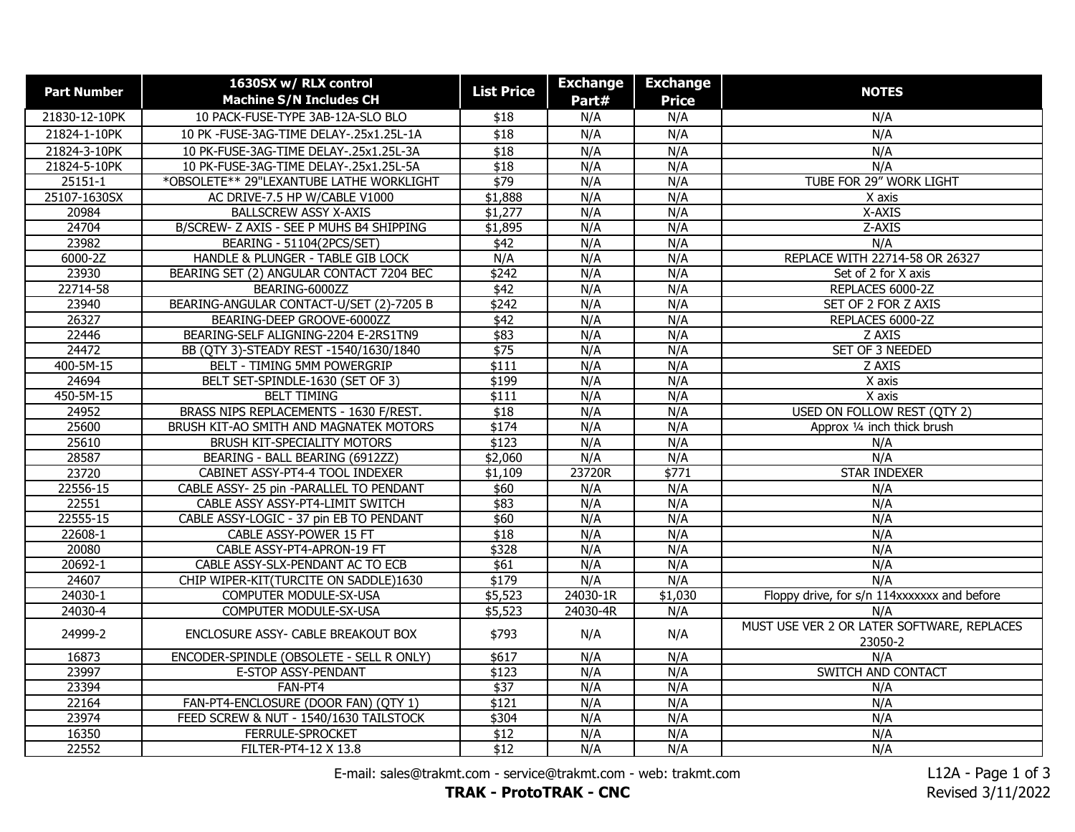| 21830-12-10PK<br>10 PACK-FUSE-TYPE 3AB-12A-SLO BLO<br>N/A<br>N/A<br>N/A<br>\$18<br>21824-1-10PK<br>10 PK -FUSE-3AG-TIME DELAY-.25x1.25L-1A<br>N/A<br>N/A<br>N/A<br>\$18<br>N/A<br>21824-3-10PK<br>10 PK-FUSE-3AG-TIME DELAY-.25x1.25L-3A<br>\$18<br>N/A<br>N/A<br>21824-5-10PK<br>$\overline{$18}$<br>N/A<br>N/A<br>N/A<br>10 PK-FUSE-3AG-TIME DELAY-.25x1.25L-5A<br>\$79<br>*OBSOLETE** 29"LEXANTUBE LATHE WORKLIGHT<br>N/A<br>N/A<br>TUBE FOR 29" WORK LIGHT<br>25151-1<br>25107-1630SX<br>AC DRIVE-7.5 HP W/CABLE V1000<br>\$1,888<br>N/A<br>N/A<br>X axis<br><b>BALLSCREW ASSY X-AXIS</b><br>\$1,277<br>N/A<br>N/A<br>X-AXIS<br>20984<br>24704<br>B/SCREW- Z AXIS - SEE P MUHS B4 SHIPPING<br>N/A<br>N/A<br>Z-AXIS<br>\$1,895<br>23982<br>N/A<br>BEARING - 51104(2PCS/SET)<br>\$42<br>N/A<br>N/A<br>6000-2Z<br>N/A<br>N/A<br>N/A<br>REPLACE WITH 22714-58 OR 26327<br>HANDLE & PLUNGER - TABLE GIB LOCK<br>23930<br>\$242<br>N/A<br>N/A<br>BEARING SET (2) ANGULAR CONTACT 7204 BEC<br>Set of 2 for X axis<br>22714-58<br>BEARING-6000ZZ<br>$\sqrt{$42}$<br>N/A<br>N/A<br>REPLACES 6000-2Z<br>N/A<br>23940<br>BEARING-ANGULAR CONTACT-U/SET (2)-7205 B<br>\$242<br>N/A<br>SET OF 2 FOR Z AXIS<br>26327<br>N/A<br>BEARING-DEEP GROOVE-6000ZZ<br>\$42<br>N/A<br>REPLACES 6000-2Z<br>22446<br>BEARING-SELF ALIGNING-2204 E-2RS1TN9<br>\$83<br>N/A<br>N/A<br>Z AXIS<br>24472<br>$\sqrt{$75}$<br>N/A<br>N/A<br>SET OF 3 NEEDED<br>BB (QTY 3)-STEADY REST -1540/1630/1840<br>400-5M-15<br>\$111<br>N/A<br>N/A<br>Z AXIS<br>BELT - TIMING 5MM POWERGRIP<br>24694<br>BELT SET-SPINDLE-1630 (SET OF 3)<br>\$199<br>N/A<br>N/A<br>X axis<br>N/A<br>450-5M-15<br><b>BELT TIMING</b><br>N/A<br>\$111<br>X axis<br>BRASS NIPS REPLACEMENTS - 1630 F/REST.<br>24952<br>\$18<br>N/A<br>N/A<br><b>USED ON FOLLOW REST (QTY 2)</b><br>25600<br>BRUSH KIT-AO SMITH AND MAGNATEK MOTORS<br>\$174<br>N/A<br>N/A<br>Approx 1/4 inch thick brush<br><b>BRUSH KIT-SPECIALITY MOTORS</b><br>\$123<br>N/A<br>N/A<br>25610<br>N/A<br>\$2,060<br>N/A<br>N/A<br>N/A<br>28587<br>BEARING - BALL BEARING (6912ZZ)<br>\$771<br><b>STAR INDEXER</b><br>23720<br>CABINET ASSY-PT4-4 TOOL INDEXER<br>\$1,109<br>23720R<br>22556-15<br>N/A<br>N/A<br>CABLE ASSY- 25 pin -PARALLEL TO PENDANT<br>\$60<br>N/A<br>22551<br>N/A<br>N/A<br>CABLE ASSY ASSY-PT4-LIMIT SWITCH<br>\$83<br>N/A<br>22555-15<br>CABLE ASSY-LOGIC - 37 pin EB TO PENDANT<br>N/A<br>N/A<br>\$60<br>N/A<br>22608-1<br>N/A<br>N/A<br>CABLE ASSY-POWER 15 FT<br>\$18<br>N/A<br>N/A<br>N/A<br>N/A<br>20080<br>CABLE ASSY-PT4-APRON-19 FT<br>\$328<br>20692-1<br>CABLE ASSY-SLX-PENDANT AC TO ECB<br>\$61<br>N/A<br>N/A<br>N/A<br>24607<br>\$179<br>N/A<br>N/A<br>CHIP WIPER-KIT(TURCITE ON SADDLE)1630<br>N/A<br>24030-1<br>COMPUTER MODULE-SX-USA<br>\$5,523<br>24030-1R<br>\$1,030<br>Floppy drive, for s/n 114xxxxxxx and before<br>24030-4<br>COMPUTER MODULE-SX-USA<br>\$5,523<br>24030-4R<br>N/A<br>N/A<br>MUST USE VER 2 OR LATER SOFTWARE, REPLACES<br>24999-2<br>ENCLOSURE ASSY- CABLE BREAKOUT BOX<br>\$793<br>N/A<br>N/A<br>23050-2<br>N/A<br>16873<br>\$617<br>N/A<br>N/A<br>ENCODER-SPINDLE (OBSOLETE - SELL R ONLY)<br>23997<br>SWITCH AND CONTACT<br>\$123<br>N/A<br>N/A<br>E-STOP ASSY-PENDANT<br>23394<br>FAN-PT4<br>$\sqrt{$37}$<br>N/A<br>N/A<br>N/A<br>\$121<br>N/A<br>N/A<br>22164<br>FAN-PT4-ENCLOSURE (DOOR FAN) (QTY 1)<br>N/A<br>23974<br>FEED SCREW & NUT - 1540/1630 TAILSTOCK<br>\$304<br>N/A<br>N/A<br>N/A<br>16350<br>N/A<br>N/A<br>N/A<br>FERRULE-SPROCKET<br>\$12<br>22552<br>FILTER-PT4-12 X 13.8<br>\$12<br>N/A<br>N/A<br>N/A | <b>Part Number</b> | 1630SX w/ RLX control          | <b>List Price</b> | <b>Exchange</b> | <b>Exchange</b> | <b>NOTES</b> |
|-------------------------------------------------------------------------------------------------------------------------------------------------------------------------------------------------------------------------------------------------------------------------------------------------------------------------------------------------------------------------------------------------------------------------------------------------------------------------------------------------------------------------------------------------------------------------------------------------------------------------------------------------------------------------------------------------------------------------------------------------------------------------------------------------------------------------------------------------------------------------------------------------------------------------------------------------------------------------------------------------------------------------------------------------------------------------------------------------------------------------------------------------------------------------------------------------------------------------------------------------------------------------------------------------------------------------------------------------------------------------------------------------------------------------------------------------------------------------------------------------------------------------------------------------------------------------------------------------------------------------------------------------------------------------------------------------------------------------------------------------------------------------------------------------------------------------------------------------------------------------------------------------------------------------------------------------------------------------------------------------------------------------------------------------------------------------------------------------------------------------------------------------------------------------------------------------------------------------------------------------------------------------------------------------------------------------------------------------------------------------------------------------------------------------------------------------------------------------------------------------------------------------------------------------------------------------------------------------------------------------------------------------------------------------------------------------------------------------------------------------------------------------------------------------------------------------------------------------------------------------------------------------------------------------------------------------------------------------------------------------------------------------------------------------------------------------------------------------------------------------------------------------------------------------------------------------------------------------------------------------------------------------------------------------------------------------------------------------------------------------------------------------------------------------------------------------------------------------------------------------------------------------------------------------------------------------------------------------|--------------------|--------------------------------|-------------------|-----------------|-----------------|--------------|
|                                                                                                                                                                                                                                                                                                                                                                                                                                                                                                                                                                                                                                                                                                                                                                                                                                                                                                                                                                                                                                                                                                                                                                                                                                                                                                                                                                                                                                                                                                                                                                                                                                                                                                                                                                                                                                                                                                                                                                                                                                                                                                                                                                                                                                                                                                                                                                                                                                                                                                                                                                                                                                                                                                                                                                                                                                                                                                                                                                                                                                                                                                                                                                                                                                                                                                                                                                                                                                                                                                                                                                                                 |                    | <b>Machine S/N Includes CH</b> |                   | Part#           | <b>Price</b>    |              |
|                                                                                                                                                                                                                                                                                                                                                                                                                                                                                                                                                                                                                                                                                                                                                                                                                                                                                                                                                                                                                                                                                                                                                                                                                                                                                                                                                                                                                                                                                                                                                                                                                                                                                                                                                                                                                                                                                                                                                                                                                                                                                                                                                                                                                                                                                                                                                                                                                                                                                                                                                                                                                                                                                                                                                                                                                                                                                                                                                                                                                                                                                                                                                                                                                                                                                                                                                                                                                                                                                                                                                                                                 |                    |                                |                   |                 |                 |              |
|                                                                                                                                                                                                                                                                                                                                                                                                                                                                                                                                                                                                                                                                                                                                                                                                                                                                                                                                                                                                                                                                                                                                                                                                                                                                                                                                                                                                                                                                                                                                                                                                                                                                                                                                                                                                                                                                                                                                                                                                                                                                                                                                                                                                                                                                                                                                                                                                                                                                                                                                                                                                                                                                                                                                                                                                                                                                                                                                                                                                                                                                                                                                                                                                                                                                                                                                                                                                                                                                                                                                                                                                 |                    |                                |                   |                 |                 |              |
|                                                                                                                                                                                                                                                                                                                                                                                                                                                                                                                                                                                                                                                                                                                                                                                                                                                                                                                                                                                                                                                                                                                                                                                                                                                                                                                                                                                                                                                                                                                                                                                                                                                                                                                                                                                                                                                                                                                                                                                                                                                                                                                                                                                                                                                                                                                                                                                                                                                                                                                                                                                                                                                                                                                                                                                                                                                                                                                                                                                                                                                                                                                                                                                                                                                                                                                                                                                                                                                                                                                                                                                                 |                    |                                |                   |                 |                 |              |
|                                                                                                                                                                                                                                                                                                                                                                                                                                                                                                                                                                                                                                                                                                                                                                                                                                                                                                                                                                                                                                                                                                                                                                                                                                                                                                                                                                                                                                                                                                                                                                                                                                                                                                                                                                                                                                                                                                                                                                                                                                                                                                                                                                                                                                                                                                                                                                                                                                                                                                                                                                                                                                                                                                                                                                                                                                                                                                                                                                                                                                                                                                                                                                                                                                                                                                                                                                                                                                                                                                                                                                                                 |                    |                                |                   |                 |                 |              |
|                                                                                                                                                                                                                                                                                                                                                                                                                                                                                                                                                                                                                                                                                                                                                                                                                                                                                                                                                                                                                                                                                                                                                                                                                                                                                                                                                                                                                                                                                                                                                                                                                                                                                                                                                                                                                                                                                                                                                                                                                                                                                                                                                                                                                                                                                                                                                                                                                                                                                                                                                                                                                                                                                                                                                                                                                                                                                                                                                                                                                                                                                                                                                                                                                                                                                                                                                                                                                                                                                                                                                                                                 |                    |                                |                   |                 |                 |              |
|                                                                                                                                                                                                                                                                                                                                                                                                                                                                                                                                                                                                                                                                                                                                                                                                                                                                                                                                                                                                                                                                                                                                                                                                                                                                                                                                                                                                                                                                                                                                                                                                                                                                                                                                                                                                                                                                                                                                                                                                                                                                                                                                                                                                                                                                                                                                                                                                                                                                                                                                                                                                                                                                                                                                                                                                                                                                                                                                                                                                                                                                                                                                                                                                                                                                                                                                                                                                                                                                                                                                                                                                 |                    |                                |                   |                 |                 |              |
|                                                                                                                                                                                                                                                                                                                                                                                                                                                                                                                                                                                                                                                                                                                                                                                                                                                                                                                                                                                                                                                                                                                                                                                                                                                                                                                                                                                                                                                                                                                                                                                                                                                                                                                                                                                                                                                                                                                                                                                                                                                                                                                                                                                                                                                                                                                                                                                                                                                                                                                                                                                                                                                                                                                                                                                                                                                                                                                                                                                                                                                                                                                                                                                                                                                                                                                                                                                                                                                                                                                                                                                                 |                    |                                |                   |                 |                 |              |
|                                                                                                                                                                                                                                                                                                                                                                                                                                                                                                                                                                                                                                                                                                                                                                                                                                                                                                                                                                                                                                                                                                                                                                                                                                                                                                                                                                                                                                                                                                                                                                                                                                                                                                                                                                                                                                                                                                                                                                                                                                                                                                                                                                                                                                                                                                                                                                                                                                                                                                                                                                                                                                                                                                                                                                                                                                                                                                                                                                                                                                                                                                                                                                                                                                                                                                                                                                                                                                                                                                                                                                                                 |                    |                                |                   |                 |                 |              |
|                                                                                                                                                                                                                                                                                                                                                                                                                                                                                                                                                                                                                                                                                                                                                                                                                                                                                                                                                                                                                                                                                                                                                                                                                                                                                                                                                                                                                                                                                                                                                                                                                                                                                                                                                                                                                                                                                                                                                                                                                                                                                                                                                                                                                                                                                                                                                                                                                                                                                                                                                                                                                                                                                                                                                                                                                                                                                                                                                                                                                                                                                                                                                                                                                                                                                                                                                                                                                                                                                                                                                                                                 |                    |                                |                   |                 |                 |              |
|                                                                                                                                                                                                                                                                                                                                                                                                                                                                                                                                                                                                                                                                                                                                                                                                                                                                                                                                                                                                                                                                                                                                                                                                                                                                                                                                                                                                                                                                                                                                                                                                                                                                                                                                                                                                                                                                                                                                                                                                                                                                                                                                                                                                                                                                                                                                                                                                                                                                                                                                                                                                                                                                                                                                                                                                                                                                                                                                                                                                                                                                                                                                                                                                                                                                                                                                                                                                                                                                                                                                                                                                 |                    |                                |                   |                 |                 |              |
|                                                                                                                                                                                                                                                                                                                                                                                                                                                                                                                                                                                                                                                                                                                                                                                                                                                                                                                                                                                                                                                                                                                                                                                                                                                                                                                                                                                                                                                                                                                                                                                                                                                                                                                                                                                                                                                                                                                                                                                                                                                                                                                                                                                                                                                                                                                                                                                                                                                                                                                                                                                                                                                                                                                                                                                                                                                                                                                                                                                                                                                                                                                                                                                                                                                                                                                                                                                                                                                                                                                                                                                                 |                    |                                |                   |                 |                 |              |
|                                                                                                                                                                                                                                                                                                                                                                                                                                                                                                                                                                                                                                                                                                                                                                                                                                                                                                                                                                                                                                                                                                                                                                                                                                                                                                                                                                                                                                                                                                                                                                                                                                                                                                                                                                                                                                                                                                                                                                                                                                                                                                                                                                                                                                                                                                                                                                                                                                                                                                                                                                                                                                                                                                                                                                                                                                                                                                                                                                                                                                                                                                                                                                                                                                                                                                                                                                                                                                                                                                                                                                                                 |                    |                                |                   |                 |                 |              |
|                                                                                                                                                                                                                                                                                                                                                                                                                                                                                                                                                                                                                                                                                                                                                                                                                                                                                                                                                                                                                                                                                                                                                                                                                                                                                                                                                                                                                                                                                                                                                                                                                                                                                                                                                                                                                                                                                                                                                                                                                                                                                                                                                                                                                                                                                                                                                                                                                                                                                                                                                                                                                                                                                                                                                                                                                                                                                                                                                                                                                                                                                                                                                                                                                                                                                                                                                                                                                                                                                                                                                                                                 |                    |                                |                   |                 |                 |              |
|                                                                                                                                                                                                                                                                                                                                                                                                                                                                                                                                                                                                                                                                                                                                                                                                                                                                                                                                                                                                                                                                                                                                                                                                                                                                                                                                                                                                                                                                                                                                                                                                                                                                                                                                                                                                                                                                                                                                                                                                                                                                                                                                                                                                                                                                                                                                                                                                                                                                                                                                                                                                                                                                                                                                                                                                                                                                                                                                                                                                                                                                                                                                                                                                                                                                                                                                                                                                                                                                                                                                                                                                 |                    |                                |                   |                 |                 |              |
|                                                                                                                                                                                                                                                                                                                                                                                                                                                                                                                                                                                                                                                                                                                                                                                                                                                                                                                                                                                                                                                                                                                                                                                                                                                                                                                                                                                                                                                                                                                                                                                                                                                                                                                                                                                                                                                                                                                                                                                                                                                                                                                                                                                                                                                                                                                                                                                                                                                                                                                                                                                                                                                                                                                                                                                                                                                                                                                                                                                                                                                                                                                                                                                                                                                                                                                                                                                                                                                                                                                                                                                                 |                    |                                |                   |                 |                 |              |
|                                                                                                                                                                                                                                                                                                                                                                                                                                                                                                                                                                                                                                                                                                                                                                                                                                                                                                                                                                                                                                                                                                                                                                                                                                                                                                                                                                                                                                                                                                                                                                                                                                                                                                                                                                                                                                                                                                                                                                                                                                                                                                                                                                                                                                                                                                                                                                                                                                                                                                                                                                                                                                                                                                                                                                                                                                                                                                                                                                                                                                                                                                                                                                                                                                                                                                                                                                                                                                                                                                                                                                                                 |                    |                                |                   |                 |                 |              |
|                                                                                                                                                                                                                                                                                                                                                                                                                                                                                                                                                                                                                                                                                                                                                                                                                                                                                                                                                                                                                                                                                                                                                                                                                                                                                                                                                                                                                                                                                                                                                                                                                                                                                                                                                                                                                                                                                                                                                                                                                                                                                                                                                                                                                                                                                                                                                                                                                                                                                                                                                                                                                                                                                                                                                                                                                                                                                                                                                                                                                                                                                                                                                                                                                                                                                                                                                                                                                                                                                                                                                                                                 |                    |                                |                   |                 |                 |              |
|                                                                                                                                                                                                                                                                                                                                                                                                                                                                                                                                                                                                                                                                                                                                                                                                                                                                                                                                                                                                                                                                                                                                                                                                                                                                                                                                                                                                                                                                                                                                                                                                                                                                                                                                                                                                                                                                                                                                                                                                                                                                                                                                                                                                                                                                                                                                                                                                                                                                                                                                                                                                                                                                                                                                                                                                                                                                                                                                                                                                                                                                                                                                                                                                                                                                                                                                                                                                                                                                                                                                                                                                 |                    |                                |                   |                 |                 |              |
|                                                                                                                                                                                                                                                                                                                                                                                                                                                                                                                                                                                                                                                                                                                                                                                                                                                                                                                                                                                                                                                                                                                                                                                                                                                                                                                                                                                                                                                                                                                                                                                                                                                                                                                                                                                                                                                                                                                                                                                                                                                                                                                                                                                                                                                                                                                                                                                                                                                                                                                                                                                                                                                                                                                                                                                                                                                                                                                                                                                                                                                                                                                                                                                                                                                                                                                                                                                                                                                                                                                                                                                                 |                    |                                |                   |                 |                 |              |
|                                                                                                                                                                                                                                                                                                                                                                                                                                                                                                                                                                                                                                                                                                                                                                                                                                                                                                                                                                                                                                                                                                                                                                                                                                                                                                                                                                                                                                                                                                                                                                                                                                                                                                                                                                                                                                                                                                                                                                                                                                                                                                                                                                                                                                                                                                                                                                                                                                                                                                                                                                                                                                                                                                                                                                                                                                                                                                                                                                                                                                                                                                                                                                                                                                                                                                                                                                                                                                                                                                                                                                                                 |                    |                                |                   |                 |                 |              |
|                                                                                                                                                                                                                                                                                                                                                                                                                                                                                                                                                                                                                                                                                                                                                                                                                                                                                                                                                                                                                                                                                                                                                                                                                                                                                                                                                                                                                                                                                                                                                                                                                                                                                                                                                                                                                                                                                                                                                                                                                                                                                                                                                                                                                                                                                                                                                                                                                                                                                                                                                                                                                                                                                                                                                                                                                                                                                                                                                                                                                                                                                                                                                                                                                                                                                                                                                                                                                                                                                                                                                                                                 |                    |                                |                   |                 |                 |              |
|                                                                                                                                                                                                                                                                                                                                                                                                                                                                                                                                                                                                                                                                                                                                                                                                                                                                                                                                                                                                                                                                                                                                                                                                                                                                                                                                                                                                                                                                                                                                                                                                                                                                                                                                                                                                                                                                                                                                                                                                                                                                                                                                                                                                                                                                                                                                                                                                                                                                                                                                                                                                                                                                                                                                                                                                                                                                                                                                                                                                                                                                                                                                                                                                                                                                                                                                                                                                                                                                                                                                                                                                 |                    |                                |                   |                 |                 |              |
|                                                                                                                                                                                                                                                                                                                                                                                                                                                                                                                                                                                                                                                                                                                                                                                                                                                                                                                                                                                                                                                                                                                                                                                                                                                                                                                                                                                                                                                                                                                                                                                                                                                                                                                                                                                                                                                                                                                                                                                                                                                                                                                                                                                                                                                                                                                                                                                                                                                                                                                                                                                                                                                                                                                                                                                                                                                                                                                                                                                                                                                                                                                                                                                                                                                                                                                                                                                                                                                                                                                                                                                                 |                    |                                |                   |                 |                 |              |
|                                                                                                                                                                                                                                                                                                                                                                                                                                                                                                                                                                                                                                                                                                                                                                                                                                                                                                                                                                                                                                                                                                                                                                                                                                                                                                                                                                                                                                                                                                                                                                                                                                                                                                                                                                                                                                                                                                                                                                                                                                                                                                                                                                                                                                                                                                                                                                                                                                                                                                                                                                                                                                                                                                                                                                                                                                                                                                                                                                                                                                                                                                                                                                                                                                                                                                                                                                                                                                                                                                                                                                                                 |                    |                                |                   |                 |                 |              |
|                                                                                                                                                                                                                                                                                                                                                                                                                                                                                                                                                                                                                                                                                                                                                                                                                                                                                                                                                                                                                                                                                                                                                                                                                                                                                                                                                                                                                                                                                                                                                                                                                                                                                                                                                                                                                                                                                                                                                                                                                                                                                                                                                                                                                                                                                                                                                                                                                                                                                                                                                                                                                                                                                                                                                                                                                                                                                                                                                                                                                                                                                                                                                                                                                                                                                                                                                                                                                                                                                                                                                                                                 |                    |                                |                   |                 |                 |              |
|                                                                                                                                                                                                                                                                                                                                                                                                                                                                                                                                                                                                                                                                                                                                                                                                                                                                                                                                                                                                                                                                                                                                                                                                                                                                                                                                                                                                                                                                                                                                                                                                                                                                                                                                                                                                                                                                                                                                                                                                                                                                                                                                                                                                                                                                                                                                                                                                                                                                                                                                                                                                                                                                                                                                                                                                                                                                                                                                                                                                                                                                                                                                                                                                                                                                                                                                                                                                                                                                                                                                                                                                 |                    |                                |                   |                 |                 |              |
|                                                                                                                                                                                                                                                                                                                                                                                                                                                                                                                                                                                                                                                                                                                                                                                                                                                                                                                                                                                                                                                                                                                                                                                                                                                                                                                                                                                                                                                                                                                                                                                                                                                                                                                                                                                                                                                                                                                                                                                                                                                                                                                                                                                                                                                                                                                                                                                                                                                                                                                                                                                                                                                                                                                                                                                                                                                                                                                                                                                                                                                                                                                                                                                                                                                                                                                                                                                                                                                                                                                                                                                                 |                    |                                |                   |                 |                 |              |
|                                                                                                                                                                                                                                                                                                                                                                                                                                                                                                                                                                                                                                                                                                                                                                                                                                                                                                                                                                                                                                                                                                                                                                                                                                                                                                                                                                                                                                                                                                                                                                                                                                                                                                                                                                                                                                                                                                                                                                                                                                                                                                                                                                                                                                                                                                                                                                                                                                                                                                                                                                                                                                                                                                                                                                                                                                                                                                                                                                                                                                                                                                                                                                                                                                                                                                                                                                                                                                                                                                                                                                                                 |                    |                                |                   |                 |                 |              |
|                                                                                                                                                                                                                                                                                                                                                                                                                                                                                                                                                                                                                                                                                                                                                                                                                                                                                                                                                                                                                                                                                                                                                                                                                                                                                                                                                                                                                                                                                                                                                                                                                                                                                                                                                                                                                                                                                                                                                                                                                                                                                                                                                                                                                                                                                                                                                                                                                                                                                                                                                                                                                                                                                                                                                                                                                                                                                                                                                                                                                                                                                                                                                                                                                                                                                                                                                                                                                                                                                                                                                                                                 |                    |                                |                   |                 |                 |              |
|                                                                                                                                                                                                                                                                                                                                                                                                                                                                                                                                                                                                                                                                                                                                                                                                                                                                                                                                                                                                                                                                                                                                                                                                                                                                                                                                                                                                                                                                                                                                                                                                                                                                                                                                                                                                                                                                                                                                                                                                                                                                                                                                                                                                                                                                                                                                                                                                                                                                                                                                                                                                                                                                                                                                                                                                                                                                                                                                                                                                                                                                                                                                                                                                                                                                                                                                                                                                                                                                                                                                                                                                 |                    |                                |                   |                 |                 |              |
|                                                                                                                                                                                                                                                                                                                                                                                                                                                                                                                                                                                                                                                                                                                                                                                                                                                                                                                                                                                                                                                                                                                                                                                                                                                                                                                                                                                                                                                                                                                                                                                                                                                                                                                                                                                                                                                                                                                                                                                                                                                                                                                                                                                                                                                                                                                                                                                                                                                                                                                                                                                                                                                                                                                                                                                                                                                                                                                                                                                                                                                                                                                                                                                                                                                                                                                                                                                                                                                                                                                                                                                                 |                    |                                |                   |                 |                 |              |
|                                                                                                                                                                                                                                                                                                                                                                                                                                                                                                                                                                                                                                                                                                                                                                                                                                                                                                                                                                                                                                                                                                                                                                                                                                                                                                                                                                                                                                                                                                                                                                                                                                                                                                                                                                                                                                                                                                                                                                                                                                                                                                                                                                                                                                                                                                                                                                                                                                                                                                                                                                                                                                                                                                                                                                                                                                                                                                                                                                                                                                                                                                                                                                                                                                                                                                                                                                                                                                                                                                                                                                                                 |                    |                                |                   |                 |                 |              |
|                                                                                                                                                                                                                                                                                                                                                                                                                                                                                                                                                                                                                                                                                                                                                                                                                                                                                                                                                                                                                                                                                                                                                                                                                                                                                                                                                                                                                                                                                                                                                                                                                                                                                                                                                                                                                                                                                                                                                                                                                                                                                                                                                                                                                                                                                                                                                                                                                                                                                                                                                                                                                                                                                                                                                                                                                                                                                                                                                                                                                                                                                                                                                                                                                                                                                                                                                                                                                                                                                                                                                                                                 |                    |                                |                   |                 |                 |              |
|                                                                                                                                                                                                                                                                                                                                                                                                                                                                                                                                                                                                                                                                                                                                                                                                                                                                                                                                                                                                                                                                                                                                                                                                                                                                                                                                                                                                                                                                                                                                                                                                                                                                                                                                                                                                                                                                                                                                                                                                                                                                                                                                                                                                                                                                                                                                                                                                                                                                                                                                                                                                                                                                                                                                                                                                                                                                                                                                                                                                                                                                                                                                                                                                                                                                                                                                                                                                                                                                                                                                                                                                 |                    |                                |                   |                 |                 |              |
|                                                                                                                                                                                                                                                                                                                                                                                                                                                                                                                                                                                                                                                                                                                                                                                                                                                                                                                                                                                                                                                                                                                                                                                                                                                                                                                                                                                                                                                                                                                                                                                                                                                                                                                                                                                                                                                                                                                                                                                                                                                                                                                                                                                                                                                                                                                                                                                                                                                                                                                                                                                                                                                                                                                                                                                                                                                                                                                                                                                                                                                                                                                                                                                                                                                                                                                                                                                                                                                                                                                                                                                                 |                    |                                |                   |                 |                 |              |
|                                                                                                                                                                                                                                                                                                                                                                                                                                                                                                                                                                                                                                                                                                                                                                                                                                                                                                                                                                                                                                                                                                                                                                                                                                                                                                                                                                                                                                                                                                                                                                                                                                                                                                                                                                                                                                                                                                                                                                                                                                                                                                                                                                                                                                                                                                                                                                                                                                                                                                                                                                                                                                                                                                                                                                                                                                                                                                                                                                                                                                                                                                                                                                                                                                                                                                                                                                                                                                                                                                                                                                                                 |                    |                                |                   |                 |                 |              |
|                                                                                                                                                                                                                                                                                                                                                                                                                                                                                                                                                                                                                                                                                                                                                                                                                                                                                                                                                                                                                                                                                                                                                                                                                                                                                                                                                                                                                                                                                                                                                                                                                                                                                                                                                                                                                                                                                                                                                                                                                                                                                                                                                                                                                                                                                                                                                                                                                                                                                                                                                                                                                                                                                                                                                                                                                                                                                                                                                                                                                                                                                                                                                                                                                                                                                                                                                                                                                                                                                                                                                                                                 |                    |                                |                   |                 |                 |              |
|                                                                                                                                                                                                                                                                                                                                                                                                                                                                                                                                                                                                                                                                                                                                                                                                                                                                                                                                                                                                                                                                                                                                                                                                                                                                                                                                                                                                                                                                                                                                                                                                                                                                                                                                                                                                                                                                                                                                                                                                                                                                                                                                                                                                                                                                                                                                                                                                                                                                                                                                                                                                                                                                                                                                                                                                                                                                                                                                                                                                                                                                                                                                                                                                                                                                                                                                                                                                                                                                                                                                                                                                 |                    |                                |                   |                 |                 |              |
|                                                                                                                                                                                                                                                                                                                                                                                                                                                                                                                                                                                                                                                                                                                                                                                                                                                                                                                                                                                                                                                                                                                                                                                                                                                                                                                                                                                                                                                                                                                                                                                                                                                                                                                                                                                                                                                                                                                                                                                                                                                                                                                                                                                                                                                                                                                                                                                                                                                                                                                                                                                                                                                                                                                                                                                                                                                                                                                                                                                                                                                                                                                                                                                                                                                                                                                                                                                                                                                                                                                                                                                                 |                    |                                |                   |                 |                 |              |
|                                                                                                                                                                                                                                                                                                                                                                                                                                                                                                                                                                                                                                                                                                                                                                                                                                                                                                                                                                                                                                                                                                                                                                                                                                                                                                                                                                                                                                                                                                                                                                                                                                                                                                                                                                                                                                                                                                                                                                                                                                                                                                                                                                                                                                                                                                                                                                                                                                                                                                                                                                                                                                                                                                                                                                                                                                                                                                                                                                                                                                                                                                                                                                                                                                                                                                                                                                                                                                                                                                                                                                                                 |                    |                                |                   |                 |                 |              |
|                                                                                                                                                                                                                                                                                                                                                                                                                                                                                                                                                                                                                                                                                                                                                                                                                                                                                                                                                                                                                                                                                                                                                                                                                                                                                                                                                                                                                                                                                                                                                                                                                                                                                                                                                                                                                                                                                                                                                                                                                                                                                                                                                                                                                                                                                                                                                                                                                                                                                                                                                                                                                                                                                                                                                                                                                                                                                                                                                                                                                                                                                                                                                                                                                                                                                                                                                                                                                                                                                                                                                                                                 |                    |                                |                   |                 |                 |              |

E-mail: sales@trakmt.com - service@trakmt.com - web: trakmt.com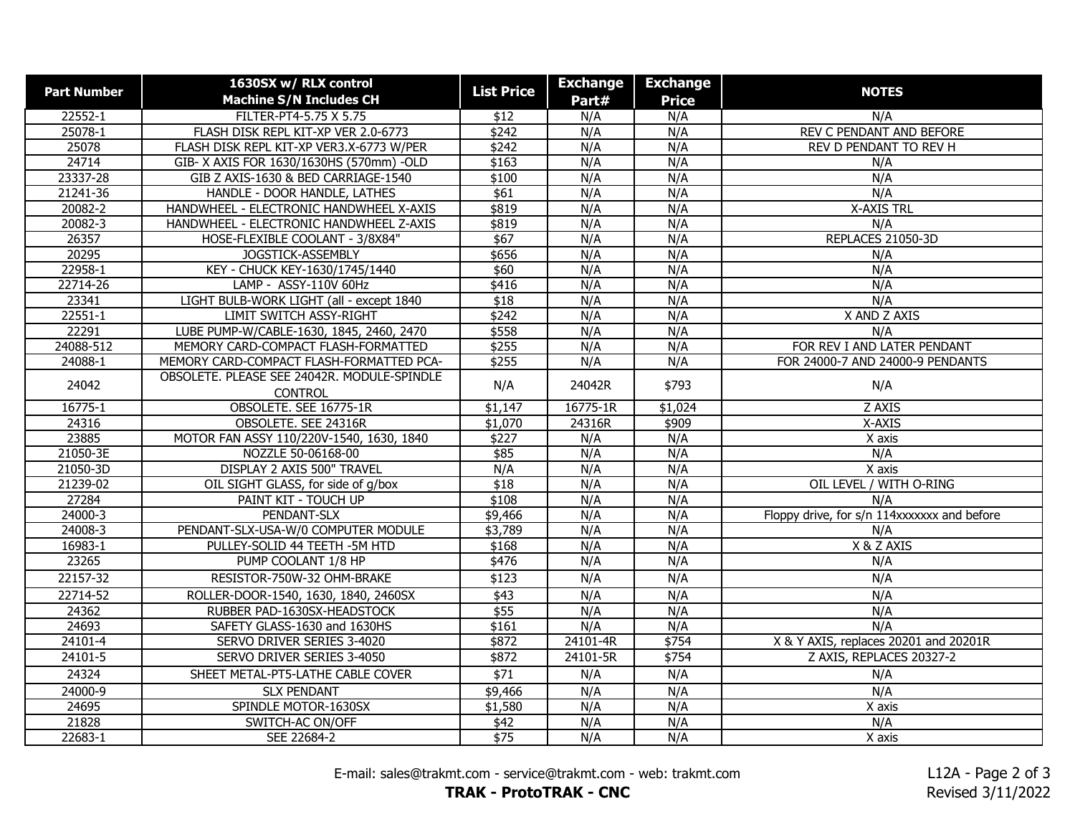| <b>Part Number</b> | 1630SX w/ RLX control                                         | <b>List Price</b> | <b>Exchange</b> | <b>Exchange</b> | <b>NOTES</b>                                |
|--------------------|---------------------------------------------------------------|-------------------|-----------------|-----------------|---------------------------------------------|
|                    | <b>Machine S/N Includes CH</b>                                |                   | Part#           | <b>Price</b>    |                                             |
| 22552-1            | FILTER-PT4-5.75 X 5.75                                        | \$12              | N/A             | N/A             | N/A                                         |
| 25078-1            | FLASH DISK REPL KIT-XP VER 2.0-6773                           | \$242             | N/A             | N/A             | REV C PENDANT AND BEFORE                    |
| 25078              | FLASH DISK REPL KIT-XP VER3.X-6773 W/PER                      | \$242             | N/A             | N/A             | REV D PENDANT TO REV H                      |
| 24714              | GIB- X AXIS FOR 1630/1630HS (570mm) -OLD                      | \$163             | N/A             | N/A             | N/A                                         |
| 23337-28           | GIB Z AXIS-1630 & BED CARRIAGE-1540                           | \$100             | N/A             | N/A             | N/A                                         |
| 21241-36           | HANDLE - DOOR HANDLE, LATHES                                  | \$61              | N/A             | N/A             | N/A                                         |
| 20082-2            | HANDWHEEL - ELECTRONIC HANDWHEEL X-AXIS                       | \$819             | N/A             | N/A             | <b>X-AXIS TRL</b>                           |
| 20082-3            | HANDWHEEL - ELECTRONIC HANDWHEEL Z-AXIS                       | \$819             | N/A             | N/A             | N/A                                         |
| 26357              | HOSE-FLEXIBLE COOLANT - 3/8X84"                               | \$67              | N/A             | N/A             | REPLACES 21050-3D                           |
| 20295              | JOGSTICK-ASSEMBLY                                             | \$656             | N/A             | N/A             | N/A                                         |
| 22958-1            | KEY - CHUCK KEY-1630/1745/1440                                | \$60              | N/A             | N/A             | N/A                                         |
| 22714-26           | LAMP - ASSY-110V 60Hz                                         | \$416             | N/A             | N/A             | N/A                                         |
| 23341              | LIGHT BULB-WORK LIGHT (all - except 1840                      | \$18              | N/A             | N/A             | N/A                                         |
| 22551-1            | LIMIT SWITCH ASSY-RIGHT                                       | \$242             | N/A             | N/A             | X AND Z AXIS                                |
| 22291              | LUBE PUMP-W/CABLE-1630, 1845, 2460, 2470                      | \$558             | N/A             | N/A             | N/A                                         |
| 24088-512          | MEMORY CARD-COMPACT FLASH-FORMATTED                           | \$255             | N/A             | N/A             | FOR REV I AND LATER PENDANT                 |
| 24088-1            | MEMORY CARD-COMPACT FLASH-FORMATTED PCA-                      | \$255             | N/A             | N/A             | FOR 24000-7 AND 24000-9 PENDANTS            |
| 24042              | OBSOLETE. PLEASE SEE 24042R. MODULE-SPINDLE<br><b>CONTROL</b> | N/A               | 24042R          | \$793           | N/A                                         |
| $16775 - 1$        | OBSOLETE. SEE 16775-1R                                        | \$1,147           | 16775-1R        | \$1,024         | Z AXIS                                      |
| 24316              | OBSOLETE. SEE 24316R                                          | \$1,070           | 24316R          | \$909           | X-AXIS                                      |
| 23885              | MOTOR FAN ASSY 110/220V-1540, 1630, 1840                      | \$227             | N/A             | N/A             | X axis                                      |
| 21050-3E           | NOZZLE 50-06168-00                                            | \$85              | N/A             | N/A             | N/A                                         |
| 21050-3D           | DISPLAY 2 AXIS 500" TRAVEL                                    | N/A               | N/A             | N/A             | X axis                                      |
| 21239-02           | OIL SIGHT GLASS, for side of g/box                            | \$18              | N/A             | N/A             | OIL LEVEL / WITH O-RING                     |
| 27284              | PAINT KIT - TOUCH UP                                          | \$108             | N/A             | N/A             | N/A                                         |
| 24000-3            | PENDANT-SLX                                                   | \$9,466           | N/A             | N/A             | Floppy drive, for s/n 114xxxxxxx and before |
| 24008-3            | PENDANT-SLX-USA-W/0 COMPUTER MODULE                           | \$3,789           | N/A             | N/A             | N/A                                         |
| 16983-1            | PULLEY-SOLID 44 TEETH - 5M HTD                                | \$168             | N/A             | N/A             | X & Z AXIS                                  |
| 23265              | PUMP COOLANT 1/8 HP                                           | \$476             | N/A             | N/A             | N/A                                         |
| 22157-32           | RESISTOR-750W-32 OHM-BRAKE                                    | \$123             | N/A             | N/A             | N/A                                         |
| 22714-52           | ROLLER-DOOR-1540, 1630, 1840, 2460SX                          | \$43              | N/A             | N/A             | N/A                                         |
| 24362              | RUBBER PAD-1630SX-HEADSTOCK                                   | \$55              | N/A             | N/A             | N/A                                         |
| 24693              | SAFETY GLASS-1630 and 1630HS                                  | \$161             | N/A             | N/A             | N/A                                         |
| $24101 - 4$        | SERVO DRIVER SERIES 3-4020                                    | \$872             | 24101-4R        | \$754           | X & Y AXIS, replaces 20201 and 20201R       |
| 24101-5            | SERVO DRIVER SERIES 3-4050                                    | \$872             | 24101-5R        | \$754           | Z AXIS, REPLACES 20327-2                    |
| 24324              | SHEET METAL-PT5-LATHE CABLE COVER                             | $\sqrt{$71}$      | N/A             | N/A             | N/A                                         |
| 24000-9            | <b>SLX PENDANT</b>                                            | \$9,466           | N/A             | N/A             | N/A                                         |
| 24695              | SPINDLE MOTOR-1630SX                                          | \$1,580           | N/A             | N/A             | X axis                                      |
| 21828              | SWITCH-AC ON/OFF                                              | \$42              | N/A             | N/A             | N/A                                         |
| 22683-1            | SEE 22684-2                                                   | \$75              | N/A             | N/A             | X axis                                      |

E-mail: sales@trakmt.com - service@trakmt.com - web: trakmt.com